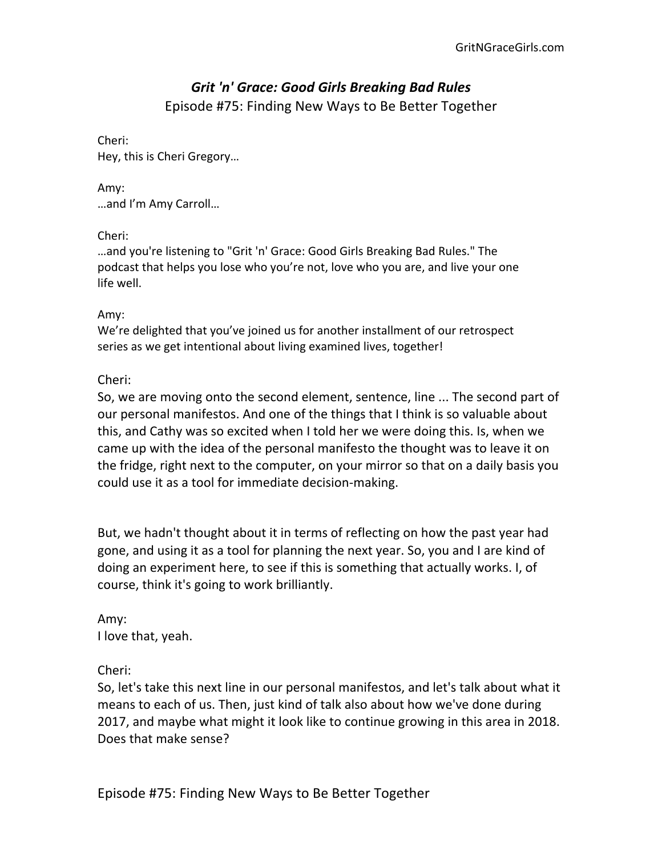# *Grit 'n' Grace: Good Girls Breaking Bad Rules* Episode #75: Finding New Ways to Be Better Together

# Cheri: Hey, this is Cheri Gregory...

Amy:

…and I'm Amy Carroll…

Cheri:

...and you're listening to "Grit 'n' Grace: Good Girls Breaking Bad Rules." The podcast that helps you lose who you're not, love who you are, and live your one life well.

#### Amy:

We're delighted that you've joined us for another installment of our retrospect series as we get intentional about living examined lives, together!

## Cheri:

So, we are moving onto the second element, sentence, line ... The second part of our personal manifestos. And one of the things that I think is so valuable about this, and Cathy was so excited when I told her we were doing this. Is, when we came up with the idea of the personal manifesto the thought was to leave it on the fridge, right next to the computer, on your mirror so that on a daily basis you could use it as a tool for immediate decision-making.

But, we hadn't thought about it in terms of reflecting on how the past year had gone, and using it as a tool for planning the next year. So, you and I are kind of doing an experiment here, to see if this is something that actually works. I, of course, think it's going to work brilliantly.

Amy: I love that, yeah.

Cheri:

So, let's take this next line in our personal manifestos, and let's talk about what it means to each of us. Then, just kind of talk also about how we've done during 2017, and maybe what might it look like to continue growing in this area in 2018. Does that make sense?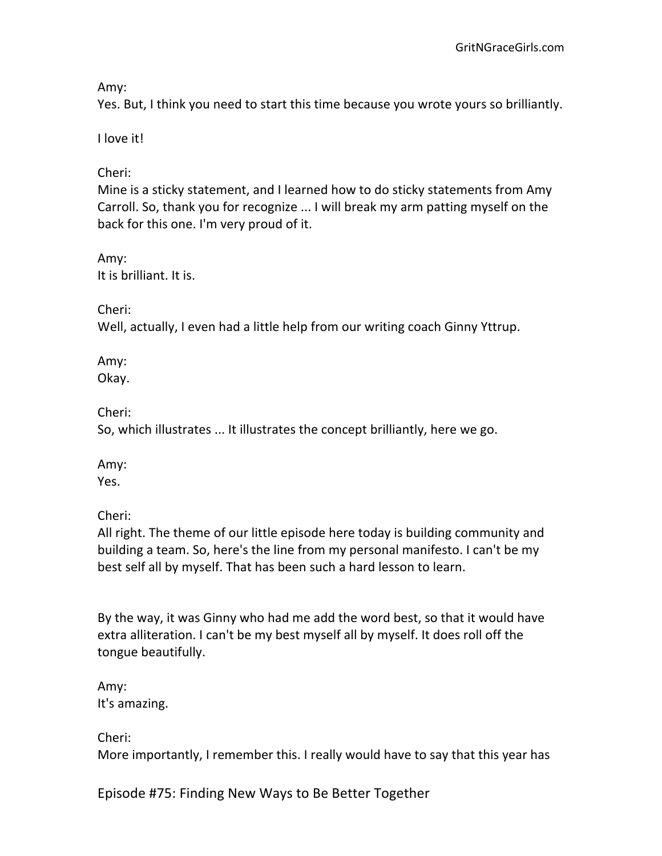Amy:

Yes. But, I think you need to start this time because you wrote yours so brilliantly.

I love it!

Cheri:

Mine is a sticky statement, and I learned how to do sticky statements from Amy Carroll. So, thank you for recognize ... I will break my arm patting myself on the back for this one. I'm very proud of it.

Amy: It is brilliant. It is.

Cheri:

Well, actually, I even had a little help from our writing coach Ginny Yttrup.

Amy: Okay.

Cheri:

So, which illustrates ... It illustrates the concept brilliantly, here we go.

Amy: Yes.

Cheri:

All right. The theme of our little episode here today is building community and building a team. So, here's the line from my personal manifesto. I can't be my best self all by myself. That has been such a hard lesson to learn.

By the way, it was Ginny who had me add the word best, so that it would have extra alliteration. I can't be my best myself all by myself. It does roll off the tongue beautifully.

Amy: It's amazing.

Cheri: More importantly, I remember this. I really would have to say that this year has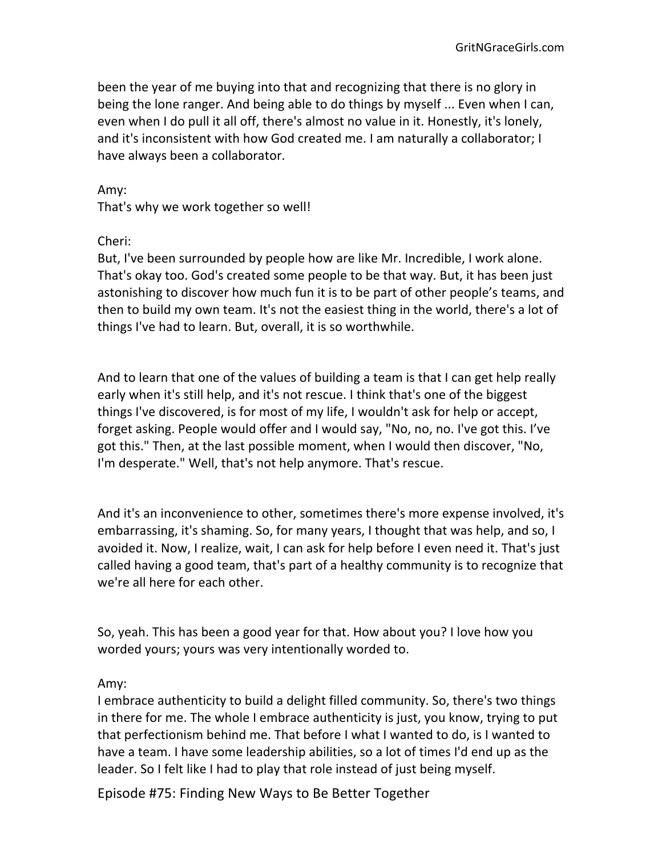been the year of me buying into that and recognizing that there is no glory in being the lone ranger. And being able to do things by myself ... Even when I can, even when I do pull it all off, there's almost no value in it. Honestly, it's lonely, and it's inconsistent with how God created me. I am naturally a collaborator; I have always been a collaborator.

Amy:

That's why we work together so well!

Cheri:

But, I've been surrounded by people how are like Mr. Incredible, I work alone. That's okay too. God's created some people to be that way. But, it has been just astonishing to discover how much fun it is to be part of other people's teams, and then to build my own team. It's not the easiest thing in the world, there's a lot of things I've had to learn. But, overall, it is so worthwhile.

And to learn that one of the values of building a team is that I can get help really early when it's still help, and it's not rescue. I think that's one of the biggest things I've discovered, is for most of my life, I wouldn't ask for help or accept, forget asking. People would offer and I would say, "No, no, no. I've got this. I've got this." Then, at the last possible moment, when I would then discover, "No, I'm desperate." Well, that's not help anymore. That's rescue.

And it's an inconvenience to other, sometimes there's more expense involved, it's embarrassing, it's shaming. So, for many years, I thought that was help, and so, I avoided it. Now, I realize, wait, I can ask for help before I even need it. That's just called having a good team, that's part of a healthy community is to recognize that we're all here for each other.

So, yeah. This has been a good year for that. How about you? I love how you worded yours; yours was very intentionally worded to.

#### Amy:

I embrace authenticity to build a delight filled community. So, there's two things in there for me. The whole I embrace authenticity is just, you know, trying to put that perfectionism behind me. That before I what I wanted to do, is I wanted to have a team. I have some leadership abilities, so a lot of times I'd end up as the leader. So I felt like I had to play that role instead of just being myself.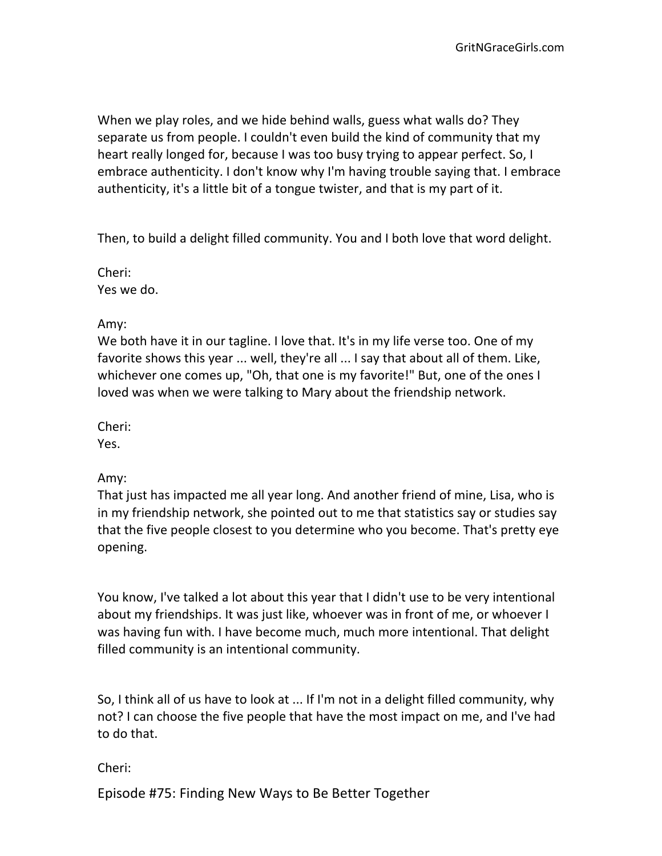When we play roles, and we hide behind walls, guess what walls do? They separate us from people. I couldn't even build the kind of community that my heart really longed for, because I was too busy trying to appear perfect. So, I embrace authenticity. I don't know why I'm having trouble saying that. I embrace authenticity, it's a little bit of a tongue twister, and that is my part of it.

Then, to build a delight filled community. You and I both love that word delight.

Cheri: Yes we do.

## Amy:

We both have it in our tagline. I love that. It's in my life verse too. One of my favorite shows this year ... well, they're all ... I say that about all of them. Like, whichever one comes up, "Oh, that one is my favorite!" But, one of the ones I loved was when we were talking to Mary about the friendship network.

Cheri:

Yes.

# Amy:

That just has impacted me all year long. And another friend of mine, Lisa, who is in my friendship network, she pointed out to me that statistics say or studies say that the five people closest to you determine who you become. That's pretty eye opening.

You know, I've talked a lot about this year that I didn't use to be very intentional about my friendships. It was just like, whoever was in front of me, or whoever I was having fun with. I have become much, much more intentional. That delight filled community is an intentional community.

So, I think all of us have to look at ... If I'm not in a delight filled community, why not? I can choose the five people that have the most impact on me, and I've had to do that.

Cheri: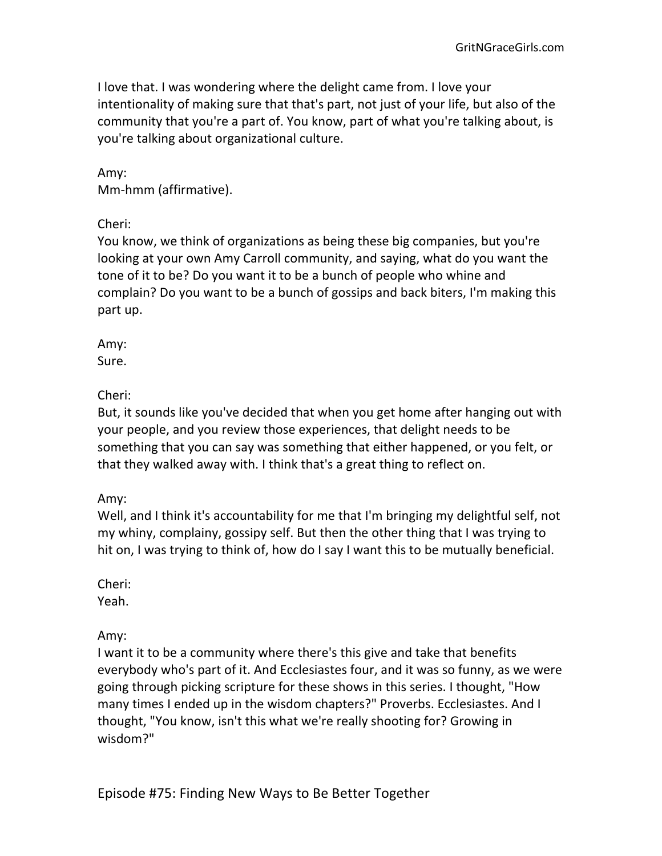I love that. I was wondering where the delight came from. I love your intentionality of making sure that that's part, not just of your life, but also of the community that you're a part of. You know, part of what you're talking about, is you're talking about organizational culture.

Amy: Mm-hmm (affirmative).

Cheri:

You know, we think of organizations as being these big companies, but you're looking at your own Amy Carroll community, and saying, what do you want the tone of it to be? Do you want it to be a bunch of people who whine and complain? Do you want to be a bunch of gossips and back biters, I'm making this part up.

Amy: Sure.

Cheri:

But, it sounds like you've decided that when you get home after hanging out with your people, and you review those experiences, that delight needs to be something that you can say was something that either happened, or you felt, or that they walked away with. I think that's a great thing to reflect on.

Amy:

Well, and I think it's accountability for me that I'm bringing my delightful self, not my whiny, complainy, gossipy self. But then the other thing that I was trying to hit on, I was trying to think of, how do I say I want this to be mutually beneficial.

Cheri:

Yeah.

Amy:

I want it to be a community where there's this give and take that benefits everybody who's part of it. And Ecclesiastes four, and it was so funny, as we were going through picking scripture for these shows in this series. I thought, "How many times I ended up in the wisdom chapters?" Proverbs. Ecclesiastes. And I thought, "You know, isn't this what we're really shooting for? Growing in wisdom?"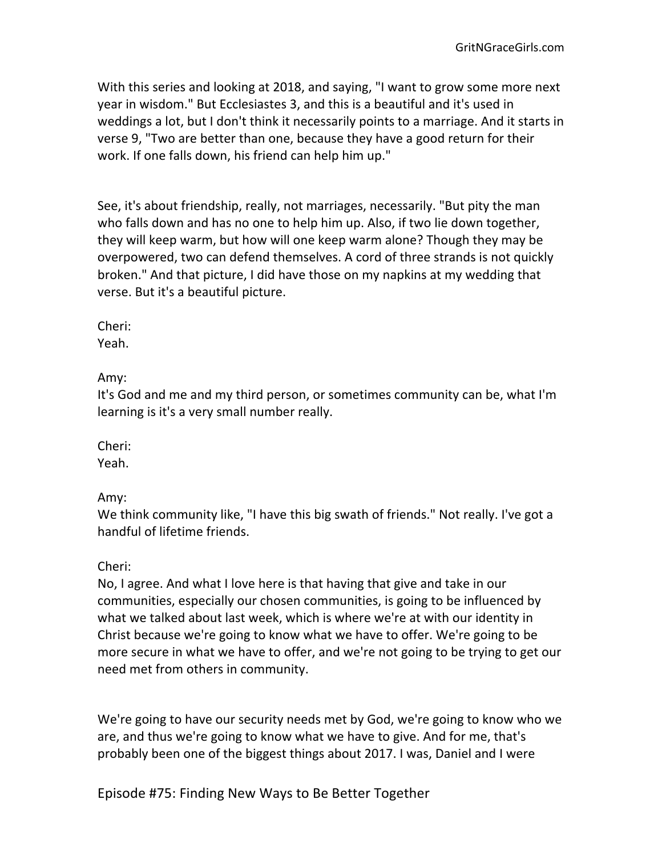With this series and looking at 2018, and saying, "I want to grow some more next year in wisdom." But Ecclesiastes 3, and this is a beautiful and it's used in weddings a lot, but I don't think it necessarily points to a marriage. And it starts in verse 9, "Two are better than one, because they have a good return for their work. If one falls down, his friend can help him up."

See, it's about friendship, really, not marriages, necessarily. "But pity the man who falls down and has no one to help him up. Also, if two lie down together, they will keep warm, but how will one keep warm alone? Though they may be overpowered, two can defend themselves. A cord of three strands is not quickly broken." And that picture, I did have those on my napkins at my wedding that verse. But it's a beautiful picture.

Cheri:

Yeah.

Amy:

It's God and me and my third person, or sometimes community can be, what I'm learning is it's a very small number really.

Cheri:

Yeah.

Amy:

We think community like, "I have this big swath of friends." Not really. I've got a handful of lifetime friends.

Cheri:

No, I agree. And what I love here is that having that give and take in our communities, especially our chosen communities, is going to be influenced by what we talked about last week, which is where we're at with our identity in Christ because we're going to know what we have to offer. We're going to be more secure in what we have to offer, and we're not going to be trying to get our need met from others in community.

We're going to have our security needs met by God, we're going to know who we are, and thus we're going to know what we have to give. And for me, that's probably been one of the biggest things about 2017. I was, Daniel and I were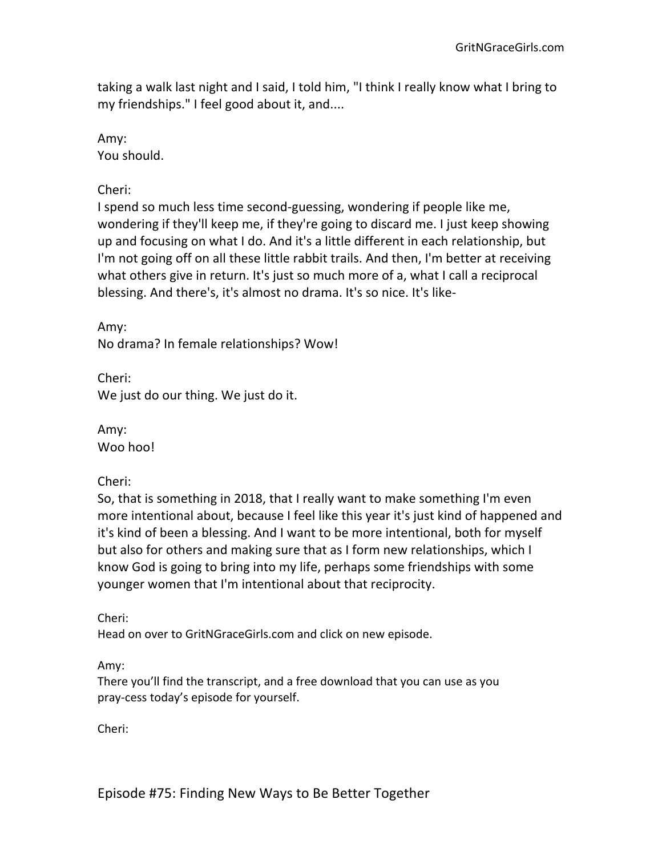taking a walk last night and I said, I told him, "I think I really know what I bring to my friendships." I feel good about it, and....

Amy:

You should.

Cheri:

I spend so much less time second-guessing, wondering if people like me, wondering if they'll keep me, if they're going to discard me. I just keep showing up and focusing on what I do. And it's a little different in each relationship, but I'm not going off on all these little rabbit trails. And then, I'm better at receiving what others give in return. It's just so much more of a, what I call a reciprocal blessing. And there's, it's almost no drama. It's so nice. It's like-

Amy: No drama? In female relationships? Wow!

Cheri: We just do our thing. We just do it.

Amy: Woo hoo!

Cheri:

So, that is something in 2018, that I really want to make something I'm even more intentional about, because I feel like this year it's just kind of happened and it's kind of been a blessing. And I want to be more intentional, both for myself but also for others and making sure that as I form new relationships, which I know God is going to bring into my life, perhaps some friendships with some younger women that I'm intentional about that reciprocity.

Cheri:

Head on over to GritNGraceGirls.com and click on new episode.

Amy:

There you'll find the transcript, and a free download that you can use as you pray-cess today's episode for yourself.

Cheri: